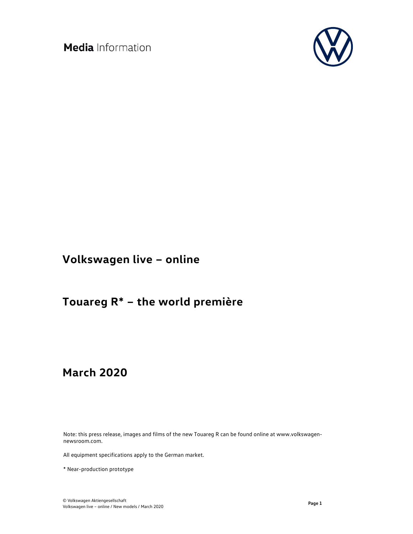

# **Volkswagen live – online**

# **Touareg R\* – the world première**

# **March 2020**

Note: this press release, images and films of the new Touareg R can be found online at www.volkswagennewsroom.com.

All equipment specifications apply to the German market.

\* Near-production prototype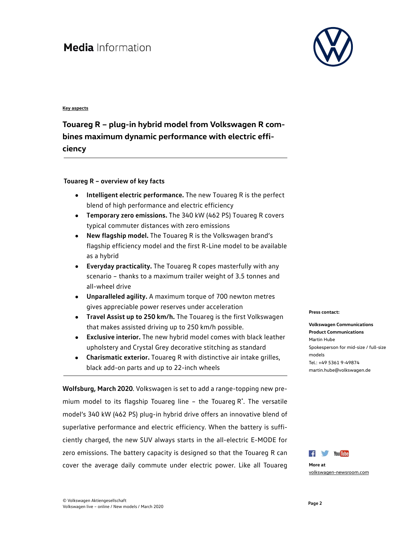#### **Key aspects**

#### **Touareg R – plug-in hybrid model from Volkswagen R combines maximum dynamic performance with electric efficiency**

#### **Touareg R – overview of key facts**

- **Intelligent electric performance.** The new Touareg R is the perfect blend of high performance and electric efficiency
- **Temporary zero emissions.** The 340 kW (462 PS) Touareg R covers typical commuter distances with zero emissions
- **New flagship model.** The Touareg R is the Volkswagen brand's flagship efficiency model and the first R-Line model to be available as a hybrid
- **Everyday practicality.** The Touareg R copes masterfully with any scenario – thanks to a maximum trailer weight of 3.5 tonnes and all-wheel drive
- **Unparalleled agility.** A maximum torque of 700 newton metres gives appreciable power reserves under acceleration
- **Travel Assist up to 250 km/h.** The Touareg is the first Volkswagen that makes assisted driving up to 250 km/h possible.
- **Exclusive interior.** The new hybrid model comes with black leather upholstery and Crystal Grey decorative stitching as standard
- **Charismatic exterior.** Touareg R with distinctive air intake grilles, black add-on parts and up to 22-inch wheels

**Wolfsburg, March 2020**. Volkswagen is set to add a range-topping new premium model to its flagship Touareg line – the Touareg R\* . The versatile model's 340 kW (462 PS) plug-in hybrid drive offers an innovative blend of superlative performance and electric efficiency. When the battery is sufficiently charged, the new SUV always starts in the all-electric E-MODE for zero emissions. The battery capacity is designed so that the Touareg R can cover the average daily commute under electric power. Like all Touareg

#### **Press contact:**

#### **Volkswagen Communications Product Communications** Martin Hube Spokesperson for mid-size / full-size models Tel.: +49 5361 9-49874 martin.hube@volkswagen.de



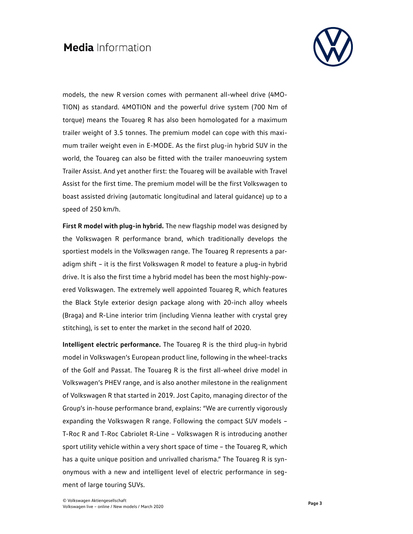

models, the new R version comes with permanent all-wheel drive (4MO-TION) as standard. 4MOTION and the powerful drive system (700 Nm of torque) means the Touareg R has also been homologated for a maximum trailer weight of 3.5 tonnes. The premium model can cope with this maximum trailer weight even in E-MODE. As the first plug-in hybrid SUV in the world, the Touareg can also be fitted with the trailer manoeuvring system Trailer Assist. And yet another first: the Touareg will be available with Travel Assist for the first time. The premium model will be the first Volkswagen to boast assisted driving (automatic longitudinal and lateral guidance) up to a speed of 250 km/h.

**First R model with plug-in hybrid.** The new flagship model was designed by the Volkswagen R performance brand, which traditionally develops the sportiest models in the Volkswagen range. The Touareg R represents a paradigm shift – it is the first Volkswagen R model to feature a plug-in hybrid drive. It is also the first time a hybrid model has been the most highly-powered Volkswagen. The extremely well appointed Touareg R, which features the Black Style exterior design package along with 20-inch alloy wheels (Braga) and R-Line interior trim (including Vienna leather with crystal grey stitching), is set to enter the market in the second half of 2020.

**Intelligent electric performance.** The Touareg R is the third plug-in hybrid model in Volkswagen's European product line, following in the wheel-tracks of the Golf and Passat. The Touareg R is the first all-wheel drive model in Volkswagen's PHEV range, and is also another milestone in the realignment of Volkswagen R that started in 2019. Jost Capito, managing director of the Group's in-house performance brand, explains: "We are currently vigorously expanding the Volkswagen R range. Following the compact SUV models – T-Roc R and T-Roc Cabriolet R-Line – Volkswagen R is introducing another sport utility vehicle within a very short space of time – the Touareg R, which has a quite unique position and unrivalled charisma." The Touareg R is synonymous with a new and intelligent level of electric performance in segment of large touring SUVs.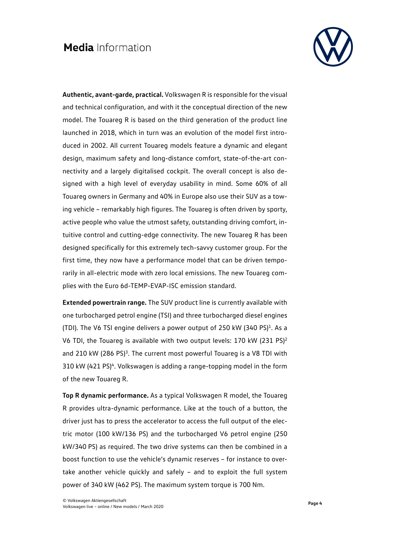

**Authentic, avant-garde, practical.** Volkswagen R is responsible for the visual and technical configuration, and with it the conceptual direction of the new model. The Touareg R is based on the third generation of the product line launched in 2018, which in turn was an evolution of the model first introduced in 2002. All current Touareg models feature a dynamic and elegant design, maximum safety and long-distance comfort, state-of-the-art connectivity and a largely digitalised cockpit. The overall concept is also designed with a high level of everyday usability in mind. Some 60% of all Touareg owners in Germany and 40% in Europe also use their SUV as a towing vehicle – remarkably high figures. The Touareg is often driven by sporty, active people who value the utmost safety, outstanding driving comfort, intuitive control and cutting-edge connectivity. The new Touareg R has been designed specifically for this extremely tech-savvy customer group. For the first time, they now have a performance model that can be driven temporarily in all-electric mode with zero local emissions. The new Touareg complies with the Euro 6d-TEMP-EVAP-ISC emission standard.

**Extended powertrain range.** The SUV product line is currently available with one turbocharged petrol engine (TSI) and three turbocharged diesel engines (TDI). The V6 TSI engine delivers a power output of 250 kW  $(340 \text{ PS})^1$ . As a V6 TDI, the Touareg is available with two output levels: 170 kW (231 PS)<sup>2</sup> and 210 kW (286 PS)<sup>3</sup>. The current most powerful Touareg is a V8 TDI with 310 kW (421 PS)<sup>4</sup>. Volkswagen is adding a range-topping model in the form of the new Touareg R.

**Top R dynamic performance.** As a typical Volkswagen R model, the Touareg R provides ultra-dynamic performance. Like at the touch of a button, the driver just has to press the accelerator to access the full output of the electric motor (100 kW/136 PS) and the turbocharged V6 petrol engine (250 kW/340 PS) as required. The two drive systems can then be combined in a boost function to use the vehicle's dynamic reserves – for instance to overtake another vehicle quickly and safely – and to exploit the full system power of 340 kW (462 PS). The maximum system torque is 700 Nm.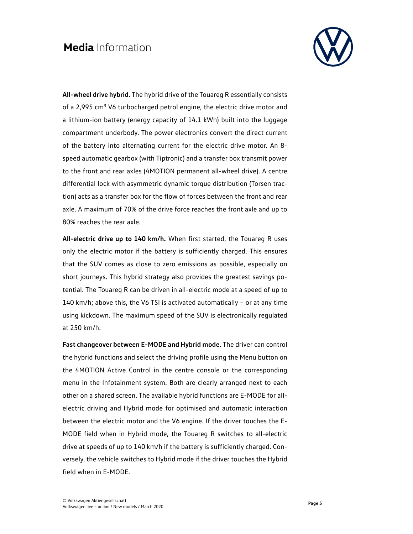

**All-wheel drive hybrid.** The hybrid drive of the Touareg R essentially consists of a 2,995 cm<sup>3</sup> V6 turbocharged petrol engine, the electric drive motor and a lithium-ion battery (energy capacity of 14.1 kWh) built into the luggage compartment underbody. The power electronics convert the direct current of the battery into alternating current for the electric drive motor. An 8 speed automatic gearbox (with Tiptronic) and a transfer box transmit power to the front and rear axles (4MOTION permanent all-wheel drive). A centre differential lock with asymmetric dynamic torque distribution (Torsen traction) acts as a transfer box for the flow of forces between the front and rear axle. A maximum of 70% of the drive force reaches the front axle and up to 80% reaches the rear axle.

**All-electric drive up to 140 km/h.** When first started, the Touareg R uses only the electric motor if the battery is sufficiently charged. This ensures that the SUV comes as close to zero emissions as possible, especially on short journeys. This hybrid strategy also provides the greatest savings potential. The Touareg R can be driven in all-electric mode at a speed of up to 140 km/h; above this, the V6 TSI is activated automatically – or at any time using kickdown. The maximum speed of the SUV is electronically regulated at 250 km/h.

**Fast changeover between E-MODE and Hybrid mode.** The driver can control the hybrid functions and select the driving profile using the Menu button on the 4MOTION Active Control in the centre console or the corresponding menu in the Infotainment system. Both are clearly arranged next to each other on a shared screen. The available hybrid functions are E-MODE for allelectric driving and Hybrid mode for optimised and automatic interaction between the electric motor and the V6 engine. If the driver touches the E-MODE field when in Hybrid mode, the Touareg R switches to all-electric drive at speeds of up to 140 km/h if the battery is sufficiently charged. Conversely, the vehicle switches to Hybrid mode if the driver touches the Hybrid field when in E-MODE.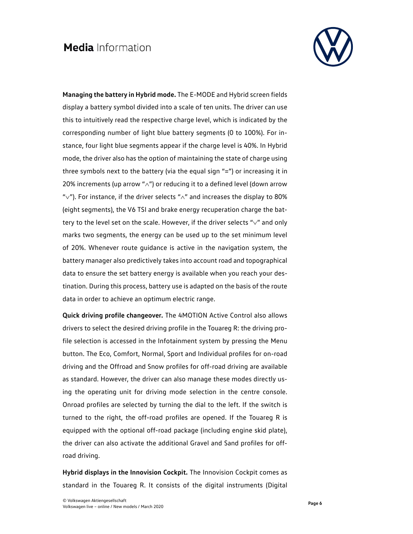

**Managing the battery in Hybrid mode.** The E-MODE and Hybrid screen fields display a battery symbol divided into a scale of ten units. The driver can use this to intuitively read the respective charge level, which is indicated by the corresponding number of light blue battery segments (0 to 100%). For instance, four light blue segments appear if the charge level is 40%. In Hybrid mode, the driver also has the option of maintaining the state of charge using three symbols next to the battery (via the equal sign "=") or increasing it in 20% increments (up arrow " $\wedge$ ") or reducing it to a defined level (down arrow " $\vee$ "). For instance, if the driver selects " $\wedge$ " and increases the display to 80% (eight segments), the V6 TSI and brake energy recuperation charge the battery to the level set on the scale. However, if the driver selects " $\vee$ " and only marks two segments, the energy can be used up to the set minimum level of 20%. Whenever route guidance is active in the navigation system, the battery manager also predictively takes into account road and topographical data to ensure the set battery energy is available when you reach your destination. During this process, battery use is adapted on the basis of the route data in order to achieve an optimum electric range.

**Quick driving profile changeover.** The 4MOTION Active Control also allows drivers to select the desired driving profile in the Touareg R: the driving profile selection is accessed in the Infotainment system by pressing the Menu button. The Eco, Comfort, Normal, Sport and Individual profiles for on-road driving and the Offroad and Snow profiles for off-road driving are available as standard. However, the driver can also manage these modes directly using the operating unit for driving mode selection in the centre console. Onroad profiles are selected by turning the dial to the left. If the switch is turned to the right, the off-road profiles are opened. If the Touareg R is equipped with the optional off-road package (including engine skid plate), the driver can also activate the additional Gravel and Sand profiles for offroad driving.

**Hybrid displays in the Innovision Cockpit.** The Innovision Cockpit comes as standard in the Touareg R. It consists of the digital instruments (Digital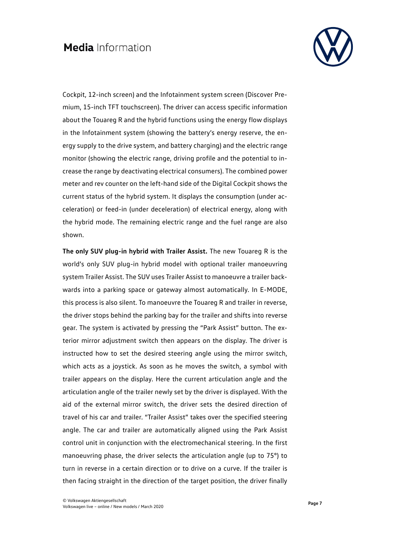

Cockpit, 12-inch screen) and the Infotainment system screen (Discover Premium, 15-inch TFT touchscreen). The driver can access specific information about the Touareg R and the hybrid functions using the energy flow displays in the Infotainment system (showing the battery's energy reserve, the energy supply to the drive system, and battery charging) and the electric range monitor (showing the electric range, driving profile and the potential to increase the range by deactivating electrical consumers). The combined power meter and rev counter on the left-hand side of the Digital Cockpit shows the current status of the hybrid system. It displays the consumption (under acceleration) or feed-in (under deceleration) of electrical energy, along with the hybrid mode. The remaining electric range and the fuel range are also shown.

**The only SUV plug-in hybrid with Trailer Assist.** The new Touareg R is the world's only SUV plug-in hybrid model with optional trailer manoeuvring system Trailer Assist. The SUV uses Trailer Assist to manoeuvre a trailer backwards into a parking space or gateway almost automatically. In E-MODE, this process is also silent. To manoeuvre the Touareg R and trailer in reverse, the driver stops behind the parking bay for the trailer and shifts into reverse gear. The system is activated by pressing the "Park Assist" button. The exterior mirror adjustment switch then appears on the display. The driver is instructed how to set the desired steering angle using the mirror switch, which acts as a joystick. As soon as he moves the switch, a symbol with trailer appears on the display. Here the current articulation angle and the articulation angle of the trailer newly set by the driver is displayed. With the aid of the external mirror switch, the driver sets the desired direction of travel of his car and trailer. "Trailer Assist" takes over the specified steering angle. The car and trailer are automatically aligned using the Park Assist control unit in conjunction with the electromechanical steering. In the first manoeuvring phase, the driver selects the articulation angle (up to 75°) to turn in reverse in a certain direction or to drive on a curve. If the trailer is then facing straight in the direction of the target position, the driver finally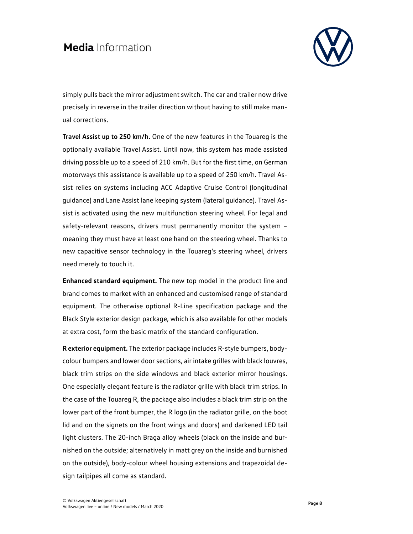

simply pulls back the mirror adjustment switch. The car and trailer now drive precisely in reverse in the trailer direction without having to still make manual corrections.

**Travel Assist up to 250 km/h.** One of the new features in the Touareg is the optionally available Travel Assist. Until now, this system has made assisted driving possible up to a speed of 210 km/h. But for the first time, on German motorways this assistance is available up to a speed of 250 km/h. Travel Assist relies on systems including ACC Adaptive Cruise Control (longitudinal guidance) and Lane Assist lane keeping system (lateral guidance). Travel Assist is activated using the new multifunction steering wheel. For legal and safety-relevant reasons, drivers must permanently monitor the system – meaning they must have at least one hand on the steering wheel. Thanks to new capacitive sensor technology in the Touareg's steering wheel, drivers need merely to touch it.

**Enhanced standard equipment.** The new top model in the product line and brand comes to market with an enhanced and customised range of standard equipment. The otherwise optional R-Line specification package and the Black Style exterior design package, which is also available for other models at extra cost, form the basic matrix of the standard configuration.

**R exterior equipment.** The exterior package includes R-style bumpers, bodycolour bumpers and lower door sections, air intake grilles with black louvres, black trim strips on the side windows and black exterior mirror housings. One especially elegant feature is the radiator grille with black trim strips. In the case of the Touareg R, the package also includes a black trim strip on the lower part of the front bumper, the R logo (in the radiator grille, on the boot lid and on the signets on the front wings and doors) and darkened LED tail light clusters. The 20-inch Braga alloy wheels (black on the inside and burnished on the outside; alternatively in matt grey on the inside and burnished on the outside), body-colour wheel housing extensions and trapezoidal design tailpipes all come as standard.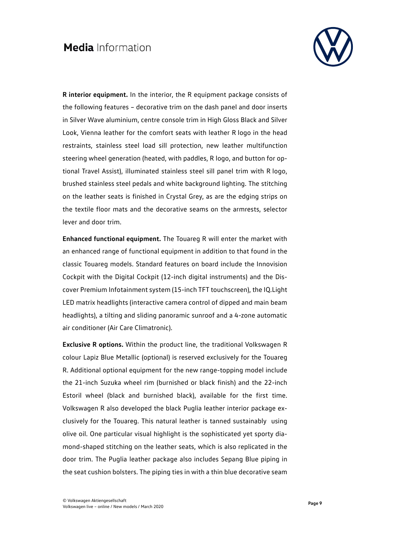

**R interior equipment.** In the interior, the R equipment package consists of the following features – decorative trim on the dash panel and door inserts in Silver Wave aluminium, centre console trim in High Gloss Black and Silver Look, Vienna leather for the comfort seats with leather R logo in the head restraints, stainless steel load sill protection, new leather multifunction steering wheel generation (heated, with paddles, R logo, and button for optional Travel Assist), illuminated stainless steel sill panel trim with R logo, brushed stainless steel pedals and white background lighting. The stitching on the leather seats is finished in Crystal Grey, as are the edging strips on the textile floor mats and the decorative seams on the armrests, selector lever and door trim.

**Enhanced functional equipment.** The Touareg R will enter the market with an enhanced range of functional equipment in addition to that found in the classic Touareg models. Standard features on board include the Innovision Cockpit with the Digital Cockpit (12-inch digital instruments) and the Discover Premium Infotainment system (15-inch TFT touchscreen), the IQ.Light LED matrix headlights (interactive camera control of dipped and main beam headlights), a tilting and sliding panoramic sunroof and a 4-zone automatic air conditioner (Air Care Climatronic).

**Exclusive R options.** Within the product line, the traditional Volkswagen R colour Lapiz Blue Metallic (optional) is reserved exclusively for the Touareg R. Additional optional equipment for the new range-topping model include the 21-inch Suzuka wheel rim (burnished or black finish) and the 22-inch Estoril wheel (black and burnished black), available for the first time. Volkswagen R also developed the black Puglia leather interior package exclusively for the Touareg. This natural leather is tanned sustainably using olive oil. One particular visual highlight is the sophisticated yet sporty diamond-shaped stitching on the leather seats, which is also replicated in the door trim. The Puglia leather package also includes Sepang Blue piping in the seat cushion bolsters. The piping ties in with a thin blue decorative seam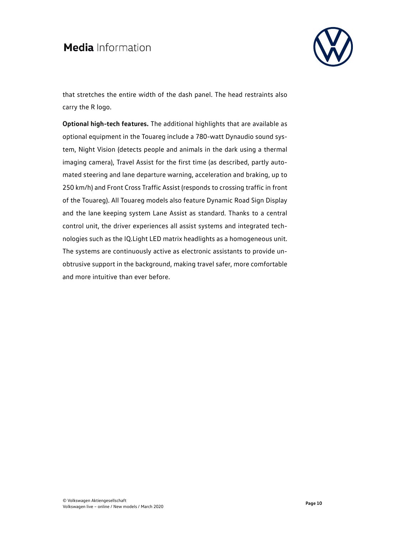

that stretches the entire width of the dash panel. The head restraints also carry the R logo.

**Optional high-tech features.** The additional highlights that are available as optional equipment in the Touareg include a 780-watt Dynaudio sound system, Night Vision (detects people and animals in the dark using a thermal imaging camera), Travel Assist for the first time (as described, partly automated steering and lane departure warning, acceleration and braking, up to 250 km/h) and Front Cross Traffic Assist (responds to crossing traffic in front of the Touareg). All Touareg models also feature Dynamic Road Sign Display and the lane keeping system Lane Assist as standard. Thanks to a central control unit, the driver experiences all assist systems and integrated technologies such as the IQ.Light LED matrix headlights as a homogeneous unit. The systems are continuously active as electronic assistants to provide unobtrusive support in the background, making travel safer, more comfortable and more intuitive than ever before.